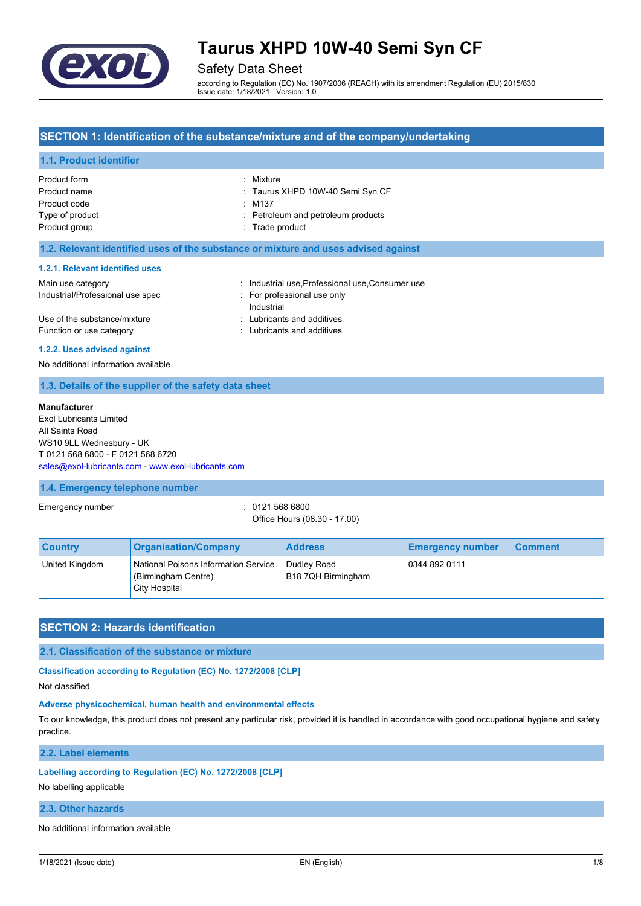

Safety Data Sheet

according to Regulation (EC) No. 1907/2006 (REACH) with its amendment Regulation (EU) 2015/830 Issue date: 1/18/2021 Version: 1.0

## **SECTION 1: Identification of the substance/mixture and of the company/undertaking**

## **1.1. Product identifier**

| Product form    | : Mixture                          |
|-----------------|------------------------------------|
| Product name    | : Taurus XHPD 10W-40 Semi Syn CF   |
| Product code    | $\therefore$ M137                  |
| Type of product | : Petroleum and petroleum products |
| Product group   | : Trade product                    |
|                 |                                    |

### **1.2. Relevant identified uses of the substance or mixture and uses advised against**

### **1.2.1. Relevant identified uses**

| Main use category                | : Industrial use Professional use Consumer use |
|----------------------------------|------------------------------------------------|
| Industrial/Professional use spec | : For professional use only                    |
|                                  | Industrial                                     |
| Use of the substance/mixture     | : Lubricants and additives                     |
| Function or use category         | Lubricants and additives                       |

### **1.2.2. Uses advised against**

No additional information available

### **1.3. Details of the supplier of the safety data sheet**

#### **Manufacturer**

Exol Lubricants Limited All Saints Road WS10 9LL Wednesbury - UK T 0121 568 6800 - F 0121 568 6720 [sales@exol-lubricants.com](mailto:sales@exol-lubricants.com) - <www.exol-lubricants.com>

### **1.4. Emergency telephone number**

Emergency number : 0121 568 6800

Office Hours (08.30 - 17.00)

| <b>Country</b> | <b>Organisation/Company</b>                                                  | <b>Address</b>                    | <b>Emergency number</b> | ∣ Comment∶ |
|----------------|------------------------------------------------------------------------------|-----------------------------------|-------------------------|------------|
| United Kingdom | National Poisons Information Service<br>(Birmingham Centre)<br>City Hospital | Dudley Road<br>B18 7QH Birmingham | 0344 892 0111           |            |

# **SECTION 2: Hazards identification**

**2.1. Classification of the substance or mixture**

**Classification according to Regulation (EC) No. 1272/2008 [CLP]**

Not classified

# **Adverse physicochemical, human health and environmental effects**

To our knowledge, this product does not present any particular risk, provided it is handled in accordance with good occupational hygiene and safety practice.

**2.2. Label elements**

### **Labelling according to Regulation (EC) No. 1272/2008 [CLP]**

No labelling applicable

## **2.3. Other hazards**

No additional information available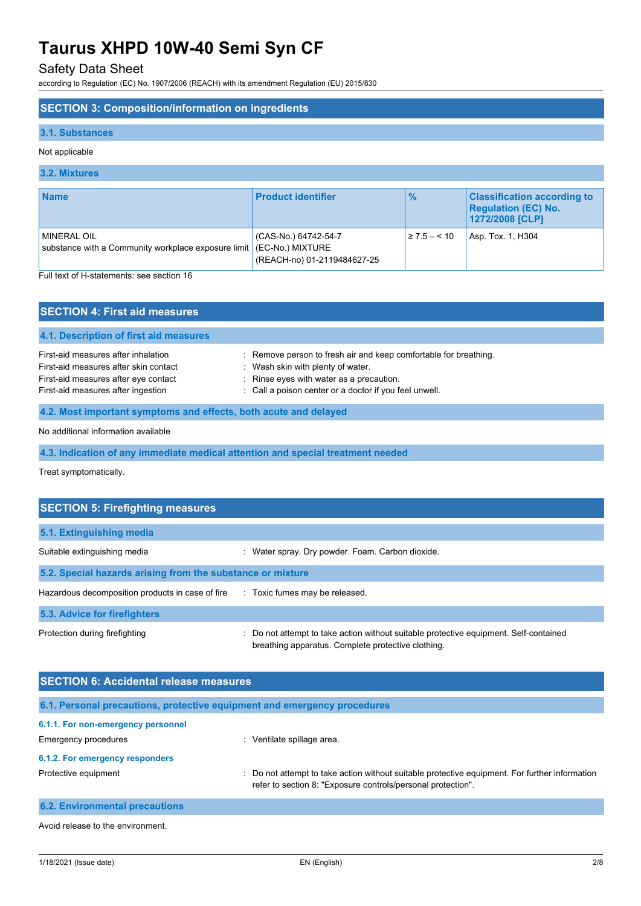# Safety Data Sheet

according to Regulation (EC) No. 1907/2006 (REACH) with its amendment Regulation (EU) 2015/830

# **SECTION 3: Composition/information on ingredients**

## **3.1. Substances**

## Not applicable

## **3.2. Mixtures**

| <b>Name</b>                                                                                                            | <b>Product identifier</b>                                               | $\frac{9}{6}$     | <b>Classification according to</b><br><b>Regulation (EC) No.</b><br>1272/2008 [CLP] |
|------------------------------------------------------------------------------------------------------------------------|-------------------------------------------------------------------------|-------------------|-------------------------------------------------------------------------------------|
| <b>MINERAL OIL</b><br>substance with a Community workplace exposure limit<br>Full tout of H ototomonto: and pootion 16 | (CAS-No.) 64742-54-7<br>(EC-No.) MIXTURE<br>(REACH-no) 01-2119484627-25 | $\geq 7.5 - 5.10$ | Asp. Tox. 1, H304                                                                   |

text of H-statements: see section 16

| <b>SECTION 4: First aid measures</b>                                                                                 |                                                                                                                                                   |  |
|----------------------------------------------------------------------------------------------------------------------|---------------------------------------------------------------------------------------------------------------------------------------------------|--|
| 4.1. Description of first aid measures                                                                               |                                                                                                                                                   |  |
| First-aid measures after inhalation<br>First-aid measures after skin contact<br>First-aid measures after eye contact | : Remove person to fresh air and keep comfortable for breathing.<br>: Wash skin with plenty of water.<br>: Rinse eyes with water as a precaution. |  |
| First-aid measures after ingestion                                                                                   | : Call a poison center or a doctor if you feel unwell.                                                                                            |  |
| 4.2. Most important symptoms and effects, both acute and delayed                                                     |                                                                                                                                                   |  |
| . A fig. of all of the control of the fig. seems of the control of the theory of the fig. (                          |                                                                                                                                                   |  |

No additional information available

**4.3. Indication of any immediate medical attention and special treatment needed**

Treat symptomatically.

| <b>SECTION 5: Firefighting measures</b>                    |                                                                                                                                             |  |  |
|------------------------------------------------------------|---------------------------------------------------------------------------------------------------------------------------------------------|--|--|
| 5.1. Extinguishing media                                   |                                                                                                                                             |  |  |
| Suitable extinguishing media                               | : Water spray. Dry powder. Foam. Carbon dioxide.                                                                                            |  |  |
| 5.2. Special hazards arising from the substance or mixture |                                                                                                                                             |  |  |
| Hazardous decomposition products in case of fire           | : Toxic fumes may be released.                                                                                                              |  |  |
| 5.3. Advice for firefighters                               |                                                                                                                                             |  |  |
| Protection during firefighting                             | : Do not attempt to take action without suitable protective equipment. Self-contained<br>breathing apparatus. Complete protective clothing. |  |  |

| <b>SECTION 6: Accidental release measures</b>                            |                                                                                                                                                                |  |
|--------------------------------------------------------------------------|----------------------------------------------------------------------------------------------------------------------------------------------------------------|--|
| 6.1. Personal precautions, protective equipment and emergency procedures |                                                                                                                                                                |  |
| 6.1.1. For non-emergency personnel                                       |                                                                                                                                                                |  |
| Emergency procedures                                                     | Ventilate spillage area.                                                                                                                                       |  |
| 6.1.2. For emergency responders                                          |                                                                                                                                                                |  |
| Protective equipment                                                     | : Do not attempt to take action without suitable protective equipment. For further information<br>refer to section 8: "Exposure controls/personal protection". |  |
| <b>6.2. Environmental precautions</b>                                    |                                                                                                                                                                |  |

Avoid release to the environment.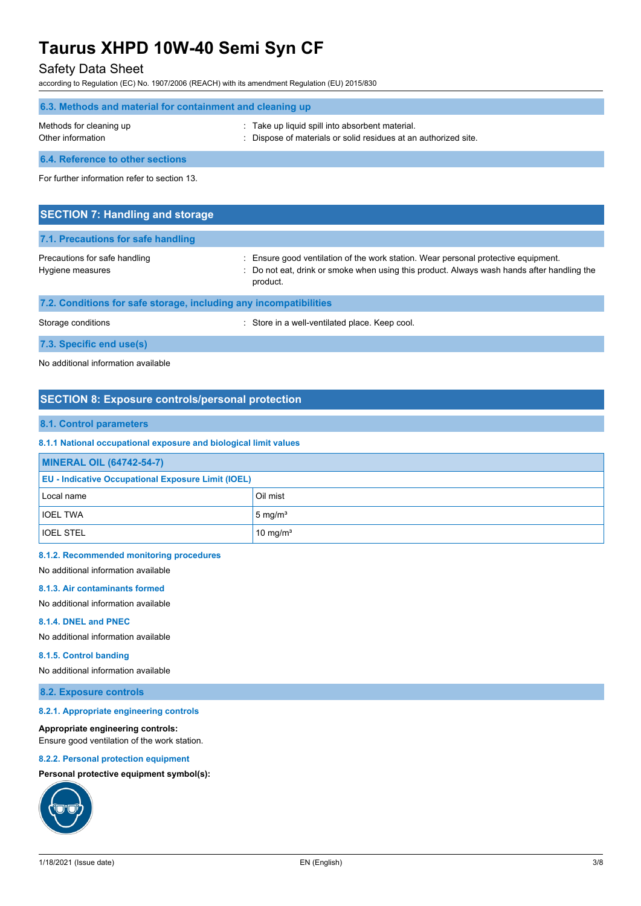# Safety Data Sheet

according to Regulation (EC) No. 1907/2006 (REACH) with its amendment Regulation (EU) 2015/830

| 6.3. Methods and material for containment and cleaning up |                                                                                                                  |  |
|-----------------------------------------------------------|------------------------------------------------------------------------------------------------------------------|--|
| Methods for cleaning up<br>Other information              | Take up liquid spill into absorbent material.<br>: Dispose of materials or solid residues at an authorized site. |  |
| 6.4. Reference to other sections                          |                                                                                                                  |  |

For further information refer to section 13.

| <b>SECTION 7: Handling and storage</b>                            |                                                                                                                                                                                              |  |
|-------------------------------------------------------------------|----------------------------------------------------------------------------------------------------------------------------------------------------------------------------------------------|--|
| 7.1. Precautions for safe handling                                |                                                                                                                                                                                              |  |
| Precautions for safe handling<br>Hygiene measures                 | : Ensure good ventilation of the work station. Wear personal protective equipment.<br>: Do not eat, drink or smoke when using this product. Always wash hands after handling the<br>product. |  |
| 7.2. Conditions for safe storage, including any incompatibilities |                                                                                                                                                                                              |  |
| Storage conditions                                                | : Store in a well-ventilated place. Keep cool.                                                                                                                                               |  |

**7.3. Specific end use(s)**

No additional information available

# **SECTION 8: Exposure controls/personal protection**

# **8.1. Control parameters**

### **8.1.1 National occupational exposure and biological limit values**

| <b>MINERAL OIL (64742-54-7)</b>                           |                      |  |
|-----------------------------------------------------------|----------------------|--|
| <b>EU - Indicative Occupational Exposure Limit (IOEL)</b> |                      |  |
| Local name                                                | Oil mist             |  |
| <b>IOEL TWA</b>                                           | $5 \text{ mg/m}^3$   |  |
| <b>IOEL STEL</b>                                          | 10 mg/m <sup>3</sup> |  |

### **8.1.2. Recommended monitoring procedures**

No additional information available

### **8.1.3. Air contaminants formed**

No additional information available

### **8.1.4. DNEL and PNEC**

No additional information available

### **8.1.5. Control banding**

No additional information available

### **8.2. Exposure controls**

### **8.2.1. Appropriate engineering controls**

### **Appropriate engineering controls:**

Ensure good ventilation of the work station.

## **8.2.2. Personal protection equipment**

# **Personal protective equipment symbol(s):**

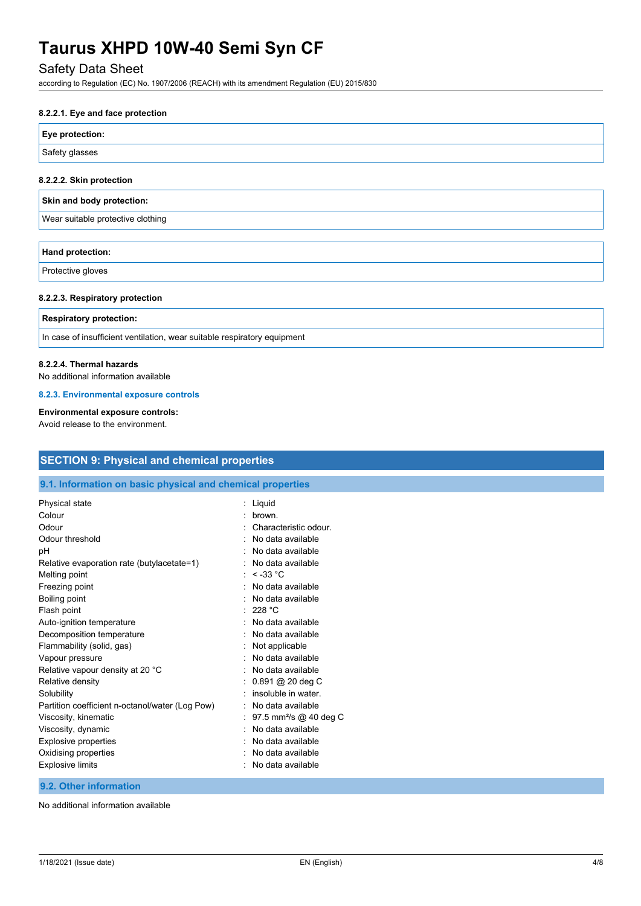# Safety Data Sheet

according to Regulation (EC) No. 1907/2006 (REACH) with its amendment Regulation (EU) 2015/830

### **8.2.2.1. Eye and face protection**

# **Eye protection:**

Safety glasses

### **8.2.2.2. Skin protection**

# **Skin and body protection:**

Wear suitable protective clothing

# **Hand protection:**

Protective gloves

### **8.2.2.3. Respiratory protection**

### **Respiratory protection:**

In case of insufficient ventilation, wear suitable respiratory equipment

### **8.2.2.4. Thermal hazards**

No additional information available

### **8.2.3. Environmental exposure controls**

# **Environmental exposure controls:**

Avoid release to the environment.

| <b>SECTION 9: Physical and chemical properties</b>         |                                      |  |
|------------------------------------------------------------|--------------------------------------|--|
| 9.1. Information on basic physical and chemical properties |                                      |  |
| Physical state                                             | : Liquid                             |  |
| Colour                                                     | brown.                               |  |
| Odour                                                      | : Characteristic odour.              |  |
| Odour threshold                                            | No data available                    |  |
| рH                                                         | : No data available                  |  |
| Relative evaporation rate (butylacetate=1)                 | : No data available                  |  |
| Melting point                                              | : $<$ -33 °C                         |  |
| Freezing point                                             | : No data available                  |  |
| Boiling point                                              | No data available                    |  |
| Flash point                                                | : 228 °C                             |  |
| Auto-ignition temperature                                  | : No data available                  |  |
| Decomposition temperature                                  | : No data available                  |  |
| Flammability (solid, gas)                                  | : Not applicable                     |  |
| Vapour pressure                                            | : No data available                  |  |
| Relative vapour density at 20 °C                           | : No data available                  |  |
| Relative density                                           | : 0.891 @ 20 deg C                   |  |
| Solubility                                                 | insoluble in water.                  |  |
| Partition coefficient n-octanol/water (Log Pow)            | : No data available                  |  |
| Viscosity, kinematic                                       | : 97.5 mm <sup>2</sup> /s @ 40 deg C |  |
| Viscosity, dynamic                                         | : No data available                  |  |
| Explosive properties                                       | No data available                    |  |
| Oxidising properties                                       | : No data available                  |  |
| Explosive limits                                           | : No data available                  |  |

# **9.2. Other information**

No additional information available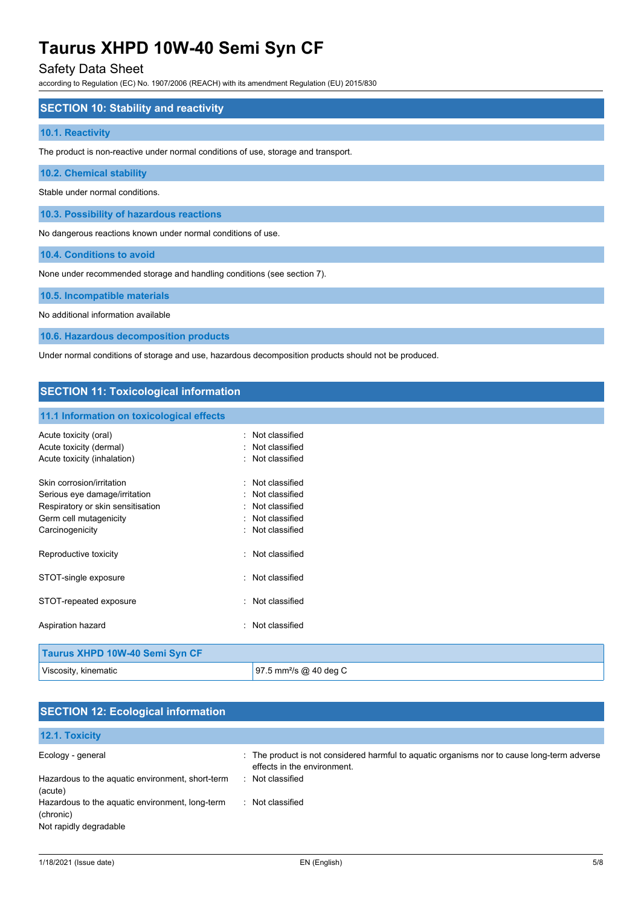# Safety Data Sheet

according to Regulation (EC) No. 1907/2006 (REACH) with its amendment Regulation (EU) 2015/830

## **SECTION 10: Stability and reactivity**

### **10.1. Reactivity**

The product is non-reactive under normal conditions of use, storage and transport.

# **10.2. Chemical stability**

Stable under normal conditions.

**10.3. Possibility of hazardous reactions**

No dangerous reactions known under normal conditions of use.

**10.4. Conditions to avoid**

None under recommended storage and handling conditions (see section 7).

### **10.5. Incompatible materials**

No additional information available

**10.6. Hazardous decomposition products**

Under normal conditions of storage and use, hazardous decomposition products should not be produced.

# **SECTION 11: Toxicological information**

### **11.1 Information on toxicological effects**

| Acute toxicity (oral)<br>Acute toxicity (dermal)<br>Acute toxicity (inhalation)                                                              | Not classified<br>Not classified<br>· Not classified                                           |
|----------------------------------------------------------------------------------------------------------------------------------------------|------------------------------------------------------------------------------------------------|
| Skin corrosion/irritation<br>Serious eye damage/irritation<br>Respiratory or skin sensitisation<br>Germ cell mutagenicity<br>Carcinogenicity | · Not classified<br>: Not classified<br>: Not classified<br>Not classified<br>: Not classified |
| Reproductive toxicity                                                                                                                        | Not classified                                                                                 |
| STOT-single exposure                                                                                                                         | · Not classified                                                                               |
| STOT-repeated exposure                                                                                                                       | Not classified                                                                                 |
| Aspiration hazard                                                                                                                            | Not classified                                                                                 |
| <b>Taurus XHPD 10W-40 Semi Syn CF</b>                                                                                                        |                                                                                                |

| Taurus XHPD 10W-40 Semi Syn CF |                                    |
|--------------------------------|------------------------------------|
| Viscosity, kinematic           | 97.5 mm <sup>2</sup> /s @ 40 deg C |
|                                |                                    |

| <b>SECTION 12: Ecological information</b>                                              |                                                                                                                            |  |  |
|----------------------------------------------------------------------------------------|----------------------------------------------------------------------------------------------------------------------------|--|--|
| 12.1. Toxicity                                                                         |                                                                                                                            |  |  |
| Ecology - general                                                                      | : The product is not considered harmful to aguatic organisms nor to cause long-term adverse<br>effects in the environment. |  |  |
| Hazardous to the aquatic environment, short-term<br>(acute)                            | : Not classified                                                                                                           |  |  |
| Hazardous to the aquatic environment, long-term<br>(chronic)<br>Not rapidly degradable | : Not classified                                                                                                           |  |  |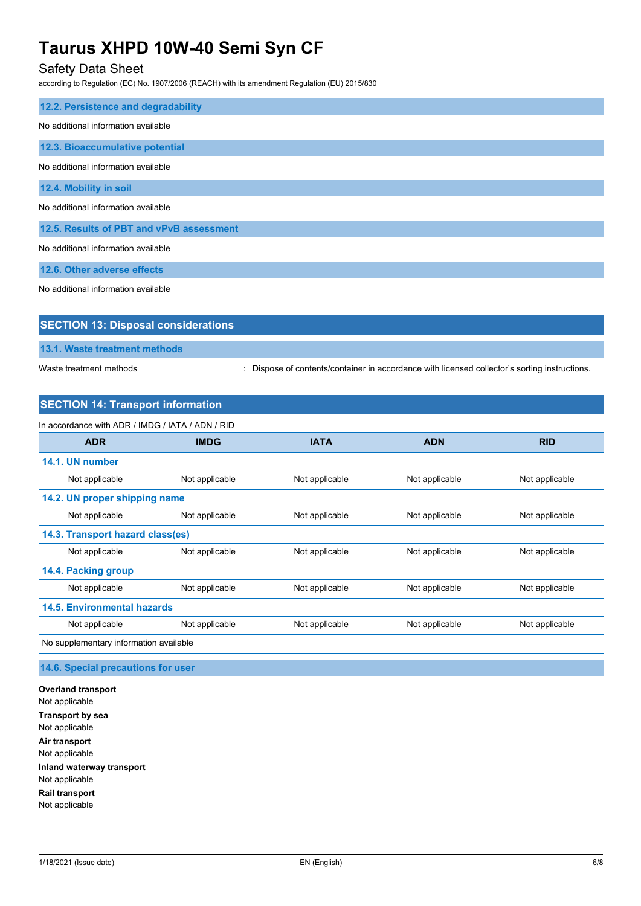# Safety Data Sheet

according to Regulation (EC) No. 1907/2006 (REACH) with its amendment Regulation (EU) 2015/830

| 12.2. Persistence and degradability      |  |  |
|------------------------------------------|--|--|
| No additional information available      |  |  |
| 12.3. Bioaccumulative potential          |  |  |
| No additional information available      |  |  |
| 12.4. Mobility in soil                   |  |  |
| No additional information available      |  |  |
| 12.5. Results of PBT and vPvB assessment |  |  |
| No additional information available      |  |  |
| 12.6. Other adverse effects              |  |  |

No additional information available

| <b>SECTION 13: Disposal considerations</b> |  |
|--------------------------------------------|--|
| 13.1. Waste treatment methods              |  |

Waste treatment methods : Dispose of contents/container in accordance with licensed collector's sorting instructions.

# **SECTION 14: Transport information**

| In accordance with ADR / IMDG / IATA / ADN / RID |                |                |                |                |
|--------------------------------------------------|----------------|----------------|----------------|----------------|
| <b>ADR</b>                                       | <b>IMDG</b>    | <b>IATA</b>    | <b>ADN</b>     | <b>RID</b>     |
| 14.1. UN number                                  |                |                |                |                |
| Not applicable                                   | Not applicable | Not applicable | Not applicable | Not applicable |
| 14.2. UN proper shipping name                    |                |                |                |                |
| Not applicable                                   | Not applicable | Not applicable | Not applicable | Not applicable |
| 14.3. Transport hazard class(es)                 |                |                |                |                |
| Not applicable                                   | Not applicable | Not applicable | Not applicable | Not applicable |
| 14.4. Packing group                              |                |                |                |                |
| Not applicable                                   | Not applicable | Not applicable | Not applicable | Not applicable |
| <b>14.5. Environmental hazards</b>               |                |                |                |                |
| Not applicable                                   | Not applicable | Not applicable | Not applicable | Not applicable |
| No supplementary information available           |                |                |                |                |

**14.6. Special precautions for user**

**Overland transport** Not applicable **Transport by sea** Not applicable **Air transport** Not applicable **Inland waterway transport** Not applicable **Rail transport** Not applicable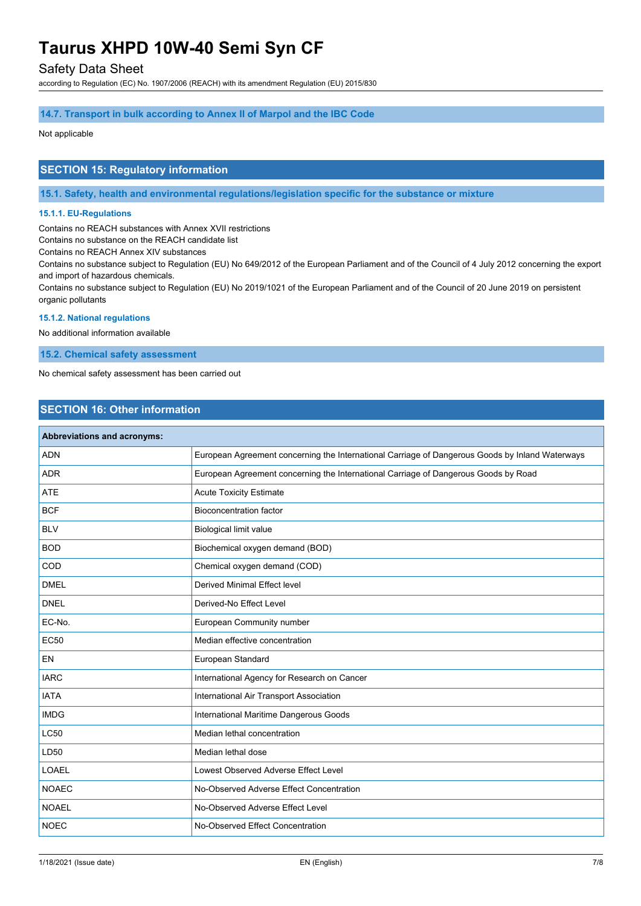# Safety Data Sheet

according to Regulation (EC) No. 1907/2006 (REACH) with its amendment Regulation (EU) 2015/830

### **14.7. Transport in bulk according to Annex II of Marpol and the IBC Code**

### Not applicable

# **SECTION 15: Regulatory information**

**15.1. Safety, health and environmental regulations/legislation specific for the substance or mixture**

### **15.1.1. EU-Regulations**

Contains no REACH substances with Annex XVII restrictions

Contains no substance on the REACH candidate list

Contains no REACH Annex XIV substances

Contains no substance subject to Regulation (EU) No 649/2012 of the European Parliament and of the Council of 4 July 2012 concerning the export and import of hazardous chemicals.

Contains no substance subject to Regulation (EU) No 2019/1021 of the European Parliament and of the Council of 20 June 2019 on persistent organic pollutants

## **15.1.2. National regulations**

No additional information available

**15.2. Chemical safety assessment**

No chemical safety assessment has been carried out

# **SECTION 16: Other information**

| Abbreviations and acronyms: |                                                                                                 |
|-----------------------------|-------------------------------------------------------------------------------------------------|
| <b>ADN</b>                  | European Agreement concerning the International Carriage of Dangerous Goods by Inland Waterways |
| <b>ADR</b>                  | European Agreement concerning the International Carriage of Dangerous Goods by Road             |
| <b>ATE</b>                  | <b>Acute Toxicity Estimate</b>                                                                  |
| <b>BCF</b>                  | <b>Bioconcentration factor</b>                                                                  |
| <b>BLV</b>                  | Biological limit value                                                                          |
| <b>BOD</b>                  | Biochemical oxygen demand (BOD)                                                                 |
| COD                         | Chemical oxygen demand (COD)                                                                    |
| <b>DMEL</b>                 | Derived Minimal Effect level                                                                    |
| <b>DNEL</b>                 | Derived-No Effect Level                                                                         |
| EC-No.                      | European Community number                                                                       |
| <b>EC50</b>                 | Median effective concentration                                                                  |
| <b>EN</b>                   | European Standard                                                                               |
| <b>IARC</b>                 | International Agency for Research on Cancer                                                     |
| <b>IATA</b>                 | International Air Transport Association                                                         |
| <b>IMDG</b>                 | International Maritime Dangerous Goods                                                          |
| <b>LC50</b>                 | Median lethal concentration                                                                     |
| LD50                        | Median lethal dose                                                                              |
| <b>LOAEL</b>                | Lowest Observed Adverse Effect Level                                                            |
| <b>NOAEC</b>                | No-Observed Adverse Effect Concentration                                                        |
| <b>NOAEL</b>                | No-Observed Adverse Effect Level                                                                |
| <b>NOEC</b>                 | No-Observed Effect Concentration                                                                |